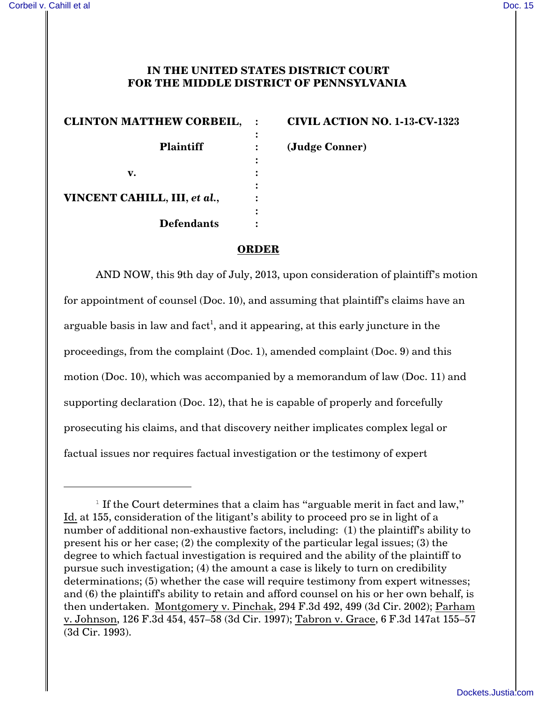## **IN THE UNITED STATES DISTRICT COURT FOR THE MIDDLE DISTRICT OF PENNSYLVANIA**

| <b>CLINTON MATTHEW CORBEIL,</b> | <b>CIVIL ACTIO</b> |
|---------------------------------|--------------------|
|                                 |                    |
| <b>Plaintiff</b>                | (Judge Conne       |
|                                 |                    |
| v.                              |                    |
|                                 |                    |
| VINCENT CAHILL, III, et al.,    |                    |
|                                 |                    |
| <b>Defendants</b>               |                    |
|                                 |                    |

**CLINTON MATTHEW CORBEIL, : CIVIL ACTION NO. 1-13-CV-1323**

**Plaintiff : (Judge Conner)**

## **ORDER**

AND NOW, this 9th day of July, 2013, upon consideration of plaintiff's motion for appointment of counsel (Doc. 10), and assuming that plaintiff's claims have an arguable basis in law and fact $^{\rm l}$ , and it appearing, at this early juncture in the proceedings, from the complaint (Doc. 1), amended complaint (Doc. 9) and this motion (Doc. 10), which was accompanied by a memorandum of law (Doc. 11) and supporting declaration (Doc. 12), that he is capable of properly and forcefully prosecuting his claims, and that discovery neither implicates complex legal or factual issues nor requires factual investigation or the testimony of expert

<sup>&</sup>lt;sup>1</sup> If the Court determines that a claim has "arguable merit in fact and law," Id. at 155, consideration of the litigant's ability to proceed pro se in light of a number of additional non-exhaustive factors, including: (1) the plaintiff's ability to present his or her case; (2) the complexity of the particular legal issues; (3) the degree to which factual investigation is required and the ability of the plaintiff to pursue such investigation; (4) the amount a case is likely to turn on credibility determinations; (5) whether the case will require testimony from expert witnesses; and (6) the plaintiff's ability to retain and afford counsel on his or her own behalf, is then undertaken. Montgomery v. Pinchak, 294 F.3d 492, 499 (3d Cir. 2002); Parham v. Johnson, 126 F.3d 454, 457–58 (3d Cir. 1997); Tabron v. Grace, 6 F.3d 147at 155–57 (3d Cir. 1993).